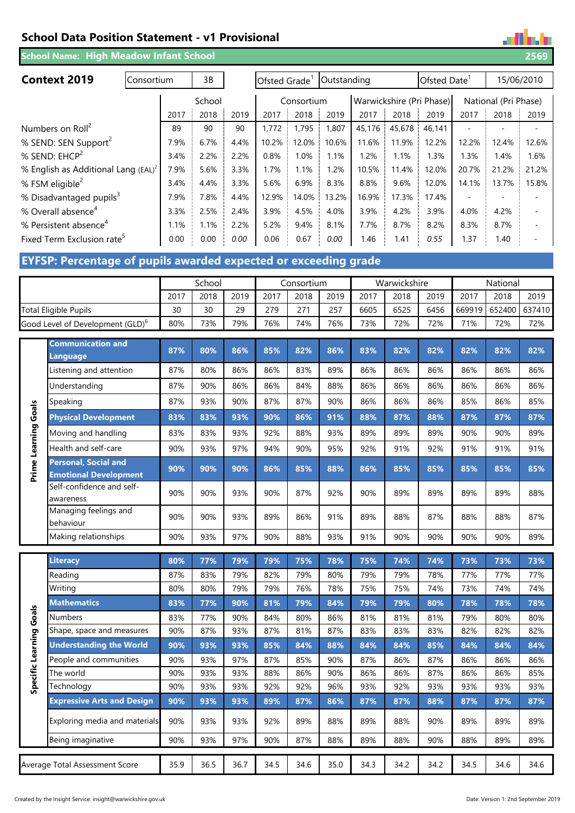# **School Data Position Statement - v1 Provisional**

**School Name: 2569 High Meadow Infant School**

| <b>Context 2019</b><br>Consortium               |      | 3B   |        | Ofsted Grade |       | Outstanding |        |        | Ofsted Date              |       |                      | 15/06/2010 |
|-------------------------------------------------|------|------|--------|--------------|-------|-------------|--------|--------|--------------------------|-------|----------------------|------------|
|                                                 |      |      | School |              |       | Consortium  |        |        | Warwickshire (Pri Phase) |       | National (Pri Phase) |            |
|                                                 | 2017 | 2018 | 2019   | 2017         | 2018  | 2019        | 2017   | 2018   | 2019                     | 2017  | 2018                 | 2019       |
| Numbers on Roll <sup>2</sup>                    | 89   | 90   | 90     | 1.772        | 1.795 | 1.807       | 45,176 | 45,678 | 46.141                   |       |                      |            |
| % SEND: SEN Support <sup>2</sup>                | 7.9% | 6.7% | 4.4%   | 10.2%        | 12.0% | 10.6%       | 11.6%  | 11.9%  | 12.2%                    | 12.2% | 12.4%                | 12.6%      |
| % SEND: EHCP <sup>2</sup>                       | 3.4% | 2.2% | 2.2%   | 0.8%         | 1.0%  | 1.1%        | 1.2%   | 1.1%   | 1.3%                     | 1.3%  | 1.4%                 | 1.6%       |
| % English as Additional Lang (EAL) <sup>2</sup> | 7.9% | 5.6% | 3.3%   | 1.7%         | 1.1%  | 1.2%        | 10.5%  | 11.4%  | 12.0%                    | 20.7% | 21.2%                | 21.2%      |
| % FSM eligible <sup>2</sup>                     | 3.4% | 4.4% | 3.3%   | 5.6%         | 6.9%  | 8.3%        | 8.8%   | 9.6%   | 12.0%                    | 14.1% | 13.7%                | 15.8%      |
| % Disadvantaged pupils <sup>3</sup>             | 7.9% | 7.8% | 4.4%   | 12.9%        | 14.0% | 13.2%       | 16.9%  | 17.3%  | 17.4%                    |       |                      |            |
| % Overall absence <sup>4</sup>                  | 3.3% | 2.5% | 2.4%   | 3.9%         | 4.5%  | 4.0%        | 3.9%   | 4.2%   | 3.9%                     | 4.0%  | 4.2%                 |            |
| % Persistent absence <sup>4</sup>               | 1.1% | 1.1% | 2.2%   | 5.2%         | 9.4%  | 8.1%        | 7.7%   | 8.7%   | 8.2%                     | 8.3%  | 8.7%                 |            |
| Fixed Term Exclusion rate <sup>5</sup>          | 0.00 | 0.00 | 0.00   | 0.06         | 0.67  | 0.00        | 1.46   | 1.41   | 0.55                     | 1.37  | 1.40                 |            |

# **EYFSP: Percentage of pupils awarded expected or exceeding grade**

|                                              | School |      |      | Consortium |      |      | Warwickshire |      |      | National |                      |      |
|----------------------------------------------|--------|------|------|------------|------|------|--------------|------|------|----------|----------------------|------|
|                                              | 2017   | 2018 | 2019 | 2017       | 2018 | 2019 | 2017         | 2018 | 2019 | 2017     | 2018                 | 2019 |
| <b>Total Eligible Pupils</b>                 | 30     | 30   | 29   | 279        | 271  | 257  | 6605         | 6525 | 6456 |          | 669919 652400 637410 |      |
| Good Level of Development (GLD) <sup>6</sup> | 80%    | 73%  | 79%  | 76%        | 74%  | 76%  | 73%          | 72%  | 72%  | 71%      | 72%                  | 72%  |

|                         | <b>Communication and</b><br>Language                        | 87%  | 80%  | 86%  | 85%  | 82%  | 86%  | 83%  | 82%  | 82%  | 82%  | 82%  | 82%  |
|-------------------------|-------------------------------------------------------------|------|------|------|------|------|------|------|------|------|------|------|------|
|                         | Listening and attention                                     | 87%  | 80%  | 86%  | 86%  | 83%  | 89%  | 86%  | 86%  | 86%  | 86%  | 86%  | 86%  |
|                         | Understanding                                               | 87%  | 90%  | 86%  | 86%  | 84%  | 88%  | 86%  | 86%  | 86%  | 86%  | 86%  | 86%  |
|                         | Speaking                                                    | 87%  | 93%  | 90%  | 87%  | 87%  | 90%  | 86%  | 86%  | 86%  | 85%  | 86%  | 85%  |
|                         | <b>Physical Development</b>                                 | 83%  | 83%  | 93%  | 90%  | 86%  | 91%  | 88%  | 87%  | 88%  | 87%  | 87%  | 87%  |
|                         | Moving and handling                                         | 83%  | 83%  | 93%  | 92%  | 88%  | 93%  | 89%  | 89%  | 89%  | 90%  | 90%  | 89%  |
|                         | Health and self-care                                        | 90%  | 93%  | 97%  | 94%  | 90%  | 95%  | 92%  | 91%  | 92%  | 91%  | 91%  | 91%  |
| Prime Learning Goals    | <b>Personal, Social and</b><br><b>Emotional Development</b> | 90%  | 90%  | 90%  | 86%  | 85%  | 88%  | 86%  | 85%  | 85%  | 85%  | 85%  | 85%  |
|                         | Self-confidence and self-<br>awareness                      | 90%  | 90%  | 93%  | 90%  | 87%  | 92%  | 90%  | 89%  | 89%  | 89%  | 89%  | 88%  |
|                         | Managing feelings and<br>behaviour                          | 90%  | 90%  | 93%  | 89%  | 86%  | 91%  | 89%  | 88%  | 87%  | 88%  | 88%  | 87%  |
|                         | Making relationships                                        | 90%  | 93%  | 97%  | 90%  | 88%  | 93%  | 91%  | 90%  | 90%  | 90%  | 90%  | 89%  |
|                         | <b>Literacy</b>                                             | 80%  | 77%  | 79%  | 79%  | 75%  | 78%  | 75%  | 74%  | 74%  | 73%  | 73%  | 73%  |
|                         | Reading                                                     | 87%  | 83%  | 79%  | 82%  | 79%  | 80%  | 79%  | 79%  | 78%  | 77%  | 77%  | 77%  |
|                         | Writing                                                     | 80%  | 80%  | 79%  | 79%  | 76%  | 78%  | 75%  | 75%  | 74%  | 73%  | 74%  | 74%  |
|                         | <b>Mathematics</b>                                          | 83%  | 77%  | 90%  | 81%  | 79%  | 84%  | 79%  | 79%  | 80%  | 78%  | 78%  | 78%  |
| Specific Learning Goals | <b>Numbers</b>                                              | 83%  | 77%  | 90%  | 84%  | 80%  | 86%  | 81%  | 81%  | 81%  | 79%  | 80%  | 80%  |
|                         | Shape, space and measures                                   | 90%  | 87%  | 93%  | 87%  | 81%  | 87%  | 83%  | 83%  | 83%  | 82%  | 82%  | 82%  |
|                         | <b>Understanding the World</b>                              | 90%  | 93%  | 93%  | 85%  | 84%  | 88%  | 84%  | 84%  | 85%  | 84%  | 84%  | 84%  |
|                         | People and communities                                      | 90%  | 93%  | 97%  | 87%  | 85%  | 90%  | 87%  | 86%  | 87%  | 86%  | 86%  | 86%  |
|                         | The world                                                   | 90%  | 93%  | 93%  | 88%  | 86%  | 90%  | 86%  | 86%  | 87%  | 86%  | 86%  | 85%  |
|                         | Technology                                                  | 90%  | 93%  | 93%  | 92%  | 92%  | 96%  | 93%  | 92%  | 93%  | 93%  | 93%  | 93%  |
|                         | <b>Expressive Arts and Design</b>                           | 90%  | 93%  | 93%  | 89%  | 87%  | 86%  | 87%  | 87%  | 88%  | 87%  | 87%  | 87%  |
|                         | Exploring media and materials                               | 90%  | 93%  | 93%  | 92%  | 89%  | 88%  | 89%  | 88%  | 90%  | 89%  | 89%  | 89%  |
|                         | Being imaginative                                           | 90%  | 93%  | 97%  | 90%  | 87%  | 88%  | 89%  | 88%  | 90%  | 88%  | 89%  | 89%  |
|                         | Average Total Assessment Score                              | 35.9 | 36.5 | 36.7 | 34.5 | 34.6 | 35.0 | 34.3 | 34.2 | 34.2 | 34.5 | 34.6 | 34.6 |

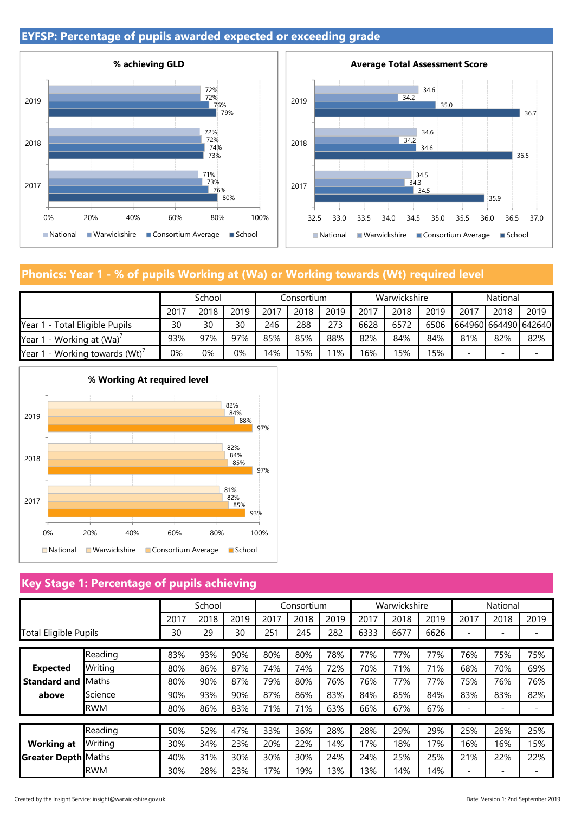## **EYFSP: Percentage of pupils awarded expected or exceeding grade**





# **Phonics: Year 1 - % of pupils Working at (Wa) or Working towards (Wt) required level**

|                                | School |      |      | Consortium |      |      | Warwickshire |      |      | National             |      |        |
|--------------------------------|--------|------|------|------------|------|------|--------------|------|------|----------------------|------|--------|
|                                | 2017   | 2018 | 2019 | 2017       | 2018 | 2019 | 2017         | 2018 | 2019 | 2017                 | 2018 | 2019   |
| Year 1 - Total Eligible Pupils | 30     | 30   | 30   | 246        | 288  | 273  | 6628         | 6572 | 6506 | 664960 664490 642640 |      |        |
| Year 1 - Working at (Wa)'      | 93%    | 97%  | 97%  | 85%        | 85%  | 88%  | 82%          | 84%  | 84%  | 81%                  | 82%  | 82%    |
| Year 1 - Working towards (Wt)' | 0%     | 0%   | 0%   | 4%         | 15%  | 11%  | 16%          | 15%  | 15%  | -                    | -    | $\sim$ |



### **Key Stage 1: Percentage of pupils achieving**

|                                        |              | School |      |      |      | Consortium |      | Warwickshire |      |      | National |                          |     |
|----------------------------------------|--------------|--------|------|------|------|------------|------|--------------|------|------|----------|--------------------------|-----|
|                                        | 2017         | 2018   | 2019 | 2017 | 2018 | 2019       | 2017 | 2018         | 2019 | 2017 | 2018     | 2019                     |     |
| <b>Total Eligible Pupils</b>           |              | 30     | 29   | 30   | 251  | 245        | 282  | 6333         | 6677 | 6626 |          | -                        |     |
|                                        | Reading      | 83%    | 93%  | 90%  | 80%  | 80%        | 78%  | 77%          | 77%  | 77%  | 76%      | 75%                      | 75% |
| <b>Expected</b><br><b>Standard and</b> | Writing      | 80%    | 86%  | 87%  | 74%  | 74%        | 72%  | 70%          | 71%  | 71%  | 68%      | 70%                      | 69% |
|                                        | <b>Maths</b> | 80%    | 90%  | 87%  | 79%  | 80%        | 76%  | 76%          | 77%  | 77%  | 75%      | 76%                      | 76% |
| above                                  | Science      | 90%    | 93%  | 90%  | 87%  | 86%        | 83%  | 84%          | 85%  | 84%  | 83%      | 83%                      | 82% |
|                                        | <b>RWM</b>   | 80%    | 86%  | 83%  | 71%  | 71%        | 63%  | 66%          | 67%  | 67%  | -        | -                        |     |
|                                        |              |        |      |      |      |            |      |              |      |      |          |                          |     |
|                                        | Reading      | 50%    | 52%  | 47%  | 33%  | 36%        | 28%  | 28%          | 29%  | 29%  | 25%      | 26%                      | 25% |
| <b>Working at</b>                      | Writing      | 30%    | 34%  | 23%  | 20%  | 22%        | 14%  | 17%          | 18%  | 17%  | 16%      | 16%                      | 15% |
| <b>Greater Depth Maths</b>             |              | 40%    | 31%  | 30%  | 30%  | 30%        | 24%  | 24%          | 25%  | 25%  | 21%      | 22%                      | 22% |
|                                        | <b>RWM</b>   | 30%    | 28%  | 23%  | 17%  | 19%        | 13%  | 13%          | 14%  | 14%  | -        | $\overline{\phantom{0}}$ |     |